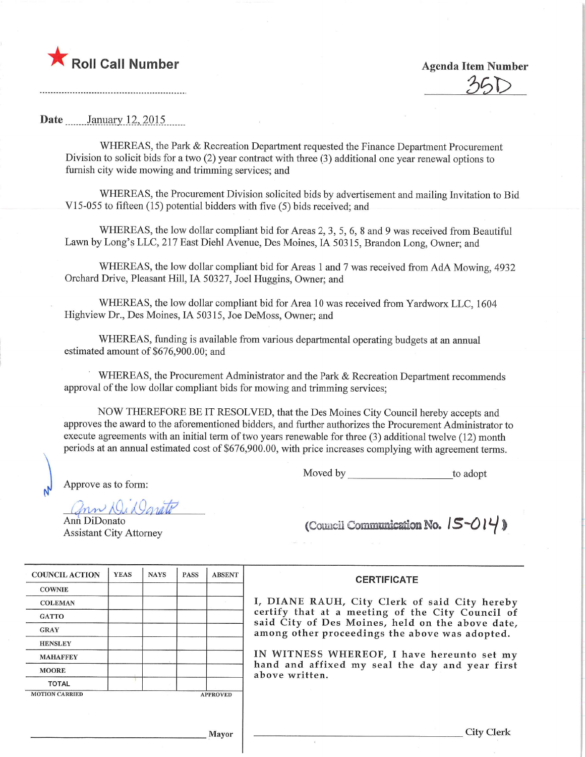

 $35D$ 

Date \_\_\_\_\_\_ January 12, 2015.

WHEREAS, the Park & Recreation Department requested the Finance Department Procurement Division to solicit bids for a two (2) year contract with three (3) additional one year renewal options to furnish city wide mowing and trimming services; and

WHEREAS, the Procurement Division solicited bids by advertisement and mailing Invitation to Bid V15-055 to fifteen  $(15)$  potential bidders with five  $(5)$  bids received; and

WHEREAS, the low dollar compliant bid for Areas 2, 3, 5, 6, 8 and 9 was received from Beautiful Lawn by Long's LLC, 217 East Diehl Avenue, Des Moines, IA 50315, Brandon Long, Owner; and

WHEREAS, the low dollar compliant bid for Areas 1 and 7 was received from AdA Mowing, 4932 Orchard Drive, Pleasant Hill, IA 50327, Joel Huggins, Owner; and

WHEREAS, the low dollar compliant bid for Area 10 was received from Yardworx LLC, 1604 Highview Dr., Des Moines, IA 50315, Joe DeMoss, Owner; and

WHEREAS, funding is available from various departmental operating budgets at an annual estimated amount of \$676,900.00; and

WHEREAS, the Procurement Administrator and the Park & Recreation Department recommends approval of the low dollar compliant bids for mowing and trimming services;

NOW THEREFORE BE IT RESOLVED, that the Des Moines City Council hereby accepts and approves the award to the aforementioned bidders, and further authorizes the Procurement Administrator to execute agreements with an initial term of two years renewable for three (3) additional twelve (12) month periods at an annual estimated cost of \$676,900.00, with price increases complying with agreement terms.

Moved by to adopt

Approve as to form:

Danato

Ann DiDonato

Ann DiDonato<br>Assistant City Attorney (Council Communication No.  $|S - O| \psi$  )

| <b>COUNCIL ACTION</b> | <b>YEAS</b>     | <b>NAYS</b> | <b>PASS</b> | <b>ABSENT</b> |
|-----------------------|-----------------|-------------|-------------|---------------|
| <b>COWNIE</b>         |                 |             |             |               |
| <b>COLEMAN</b>        |                 |             |             |               |
| <b>GATTO</b>          |                 |             |             |               |
| <b>GRAY</b>           |                 |             |             |               |
| <b>HENSLEY</b>        |                 |             |             |               |
| <b>MAHAFFEY</b>       |                 |             |             |               |
| <b>MOORE</b>          |                 |             |             |               |
| <b>TOTAL</b>          |                 |             |             |               |
| <b>MOTION CARRIED</b> | <b>APPROVED</b> |             |             |               |

**CERTIFICATE** 

I, DIANE RAUH, City Clerk of said City hereby certify that at a meeting of the City Council of said City of Des Moines, held on the above date, among other proceedings the above was adopted.

IN WITNESS WHEREOF, I have hereunto set my hand and affixed my seal the day and year first above written.

Mayor